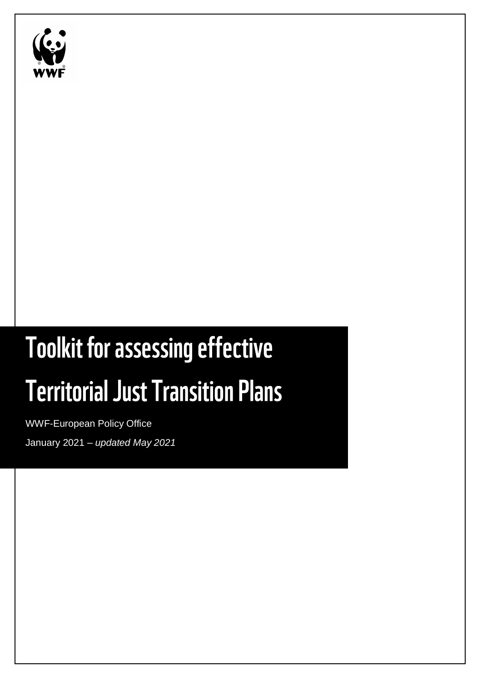

# **Toolkit for assessing effective Territorial Just Transition Plans**

WWF-European Policy Office January 2021 – *updated May 2021*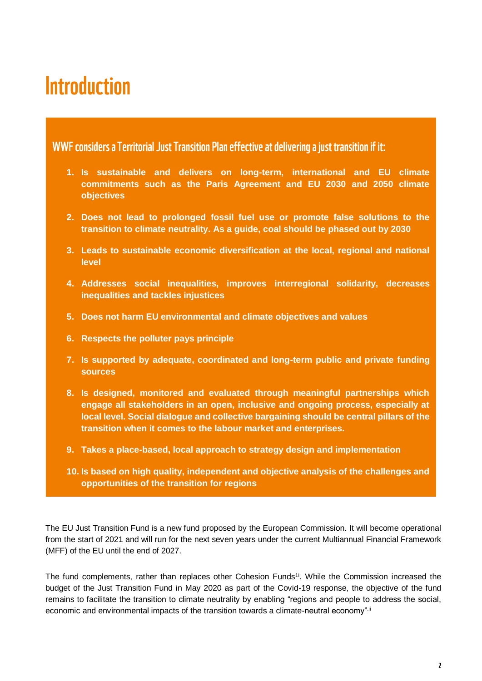## **Introduction**

WWF considers a Territorial Just Transition Plan effective at delivering a just transition if it:

- **1. Is sustainable and delivers on long-term, international and EU climate commitments such as the Paris Agreement and EU 2030 and 2050 climate objectives**
- **2. Does not lead to prolonged fossil fuel use or promote false solutions to the transition to climate neutrality. As a guide, coal should be phased out by 2030**
- **3. Leads to sustainable economic diversification at the local, regional and national level**
- **4. Addresses social inequalities, improves interregional solidarity, decreases inequalities and tackles injustices**
- **5. Does not harm EU environmental and climate objectives and values**
- **6. Respects the polluter pays principle**
- **7. Is supported by adequate, coordinated and long-term public and private funding sources**
- **8. Is designed, monitored and evaluated through meaningful partnerships which engage all stakeholders in an open, inclusive and ongoing process, especially at local level. Social dialogue and collective bargaining should be central pillars of the transition when it comes to the labour market and enterprises.**
- **9. Takes a place-based, local approach to strategy design and implementation**
- **10. Is based on high quality, independent and objective analysis of the challenges and opportunities of the transition for regions**

The EU Just Transition Fund is a new fund proposed by the European Commission. It will become operational from the start of 2021 and will run for the next seven years under the current Multiannual Financial Framework (MFF) of the EU until the end of 2027.

The fund complements, rather than replaces other Cohesion Funds<sup>11</sup>. While the Commission increased the budget of the Just Transition Fund in May 2020 as part of the Covid-19 response, the objective of the fund remains to facilitate the transition to climate neutrality by enabling "regions and people to address the social, economic and environmental impacts of the transition towards a climate-neutral economy".ii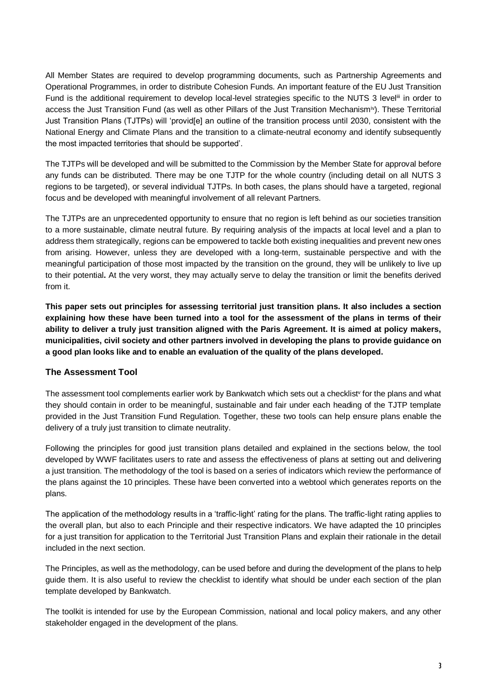All Member States are required to develop programming documents, such as Partnership Agreements and Operational Programmes, in order to distribute Cohesion Funds. An important feature of the EU Just Transition Fund is the additional requirement to develop local-level strategies specific to the NUTS 3 level<sup>iii</sup> in order to access the Just Transition Fund (as well as other Pillars of the Just Transition Mechanismiv). These Territorial Just Transition Plans (TJTPs) will 'provid[e] an outline of the transition process until 2030, consistent with the National Energy and Climate Plans and the transition to a climate-neutral economy and identify subsequently the most impacted territories that should be supported'.

The TJTPs will be developed and will be submitted to the Commission by the Member State for approval before any funds can be distributed. There may be one TJTP for the whole country (including detail on all NUTS 3 regions to be targeted), or several individual TJTPs. In both cases, the plans should have a targeted, regional focus and be developed with meaningful involvement of all relevant Partners.

The TJTPs are an unprecedented opportunity to ensure that no region is left behind as our societies transition to a more sustainable, climate neutral future. By requiring analysis of the impacts at local level and a plan to address them strategically, regions can be empowered to tackle both existing inequalities and prevent new ones from arising. However, unless they are developed with a long-term, sustainable perspective and with the meaningful participation of those most impacted by the transition on the ground, they will be unlikely to live up to their potential**.** At the very worst, they may actually serve to delay the transition or limit the benefits derived from it.

**This paper sets out principles for assessing territorial just transition plans. It also includes a section explaining how these have been turned into a tool for the assessment of the plans in terms of their ability to deliver a truly just transition aligned with the Paris Agreement. It is aimed at policy makers, municipalities, civil society and other partners involved in developing the plans to provide guidance on a good plan looks like and to enable an evaluation of the quality of the plans developed.**

#### **The Assessment Tool**

The assessment tool complements earlier work by Bankwatch which sets out a checklist<sup>v</sup> for the plans and what they should contain in order to be meaningful, sustainable and fair under each heading of the TJTP template provided in the Just Transition Fund Regulation. Together, these two tools can help ensure plans enable the delivery of a truly just transition to climate neutrality.

Following the principles for good just transition plans detailed and explained in the sections below, the tool developed by WWF facilitates users to rate and assess the effectiveness of plans at setting out and delivering a just transition. The methodology of the tool is based on a series of indicators which review the performance of the plans against the 10 principles. These have been converted into a webtool which generates reports on the plans.

The application of the methodology results in a 'traffic-light' rating for the plans. The traffic-light rating applies to the overall plan, but also to each Principle and their respective indicators. We have adapted the 10 principles for a just transition for application to the Territorial Just Transition Plans and explain their rationale in the detail included in the next section.

The Principles, as well as the methodology, can be used before and during the development of the plans to help guide them. It is also useful to review the checklist to identify what should be under each section of the plan template developed by Bankwatch.

The toolkit is intended for use by the European Commission, national and local policy makers, and any other stakeholder engaged in the development of the plans.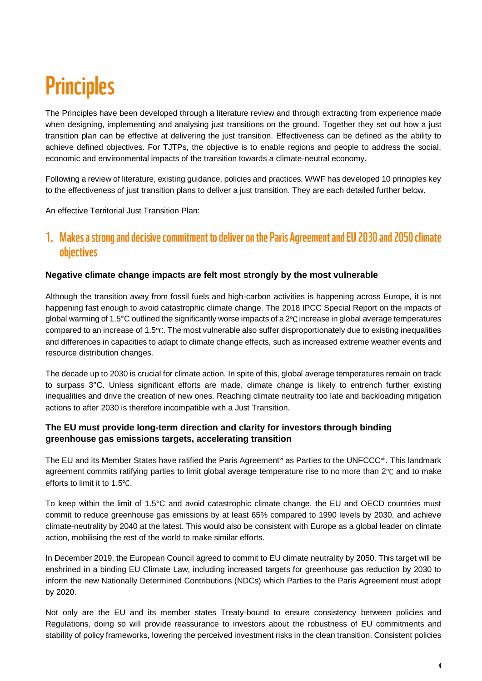## **Principles**

The Principles have been developed through a literature review and through extracting from experience made when designing, implementing and analysing just transitions on the ground. Together they set out how a just transition plan can be effective at delivering the just transition. Effectiveness can be defined as the ability to achieve defined objectives. For TJTPs, the objective is to enable regions and people to address the social, economic and environmental impacts of the transition towards a climate-neutral economy.

Following a review of literature, existing guidance, policies and practices, WWF has developed 10 principles key to the effectiveness of just transition plans to deliver a just transition. They are each detailed further below.

An effective Territorial Just Transition Plan:

## 1. Makes a strong and decisive commitment to deliver on the Paris Agreement and EU 2030 and 2050 climate objectives

#### **Negative climate change impacts are felt most strongly by the most vulnerable**

Although the transition away from fossil fuels and high-carbon activities is happening across Europe, it is not happening fast enough to avoid catastrophic climate change. The 2018 IPCC Special Report on the impacts of global warming of 1.5°C outlined the significantly worse impacts of a 2℃ increase in global average temperatures compared to an increase of 1.5℃. The most vulnerable also suffer disproportionately due to existing inequalities and differences in capacities to adapt to climate change effects, such as increased extreme weather events and resource distribution changes.

The decade up to 2030 is crucial for climate action. In spite of this, global average temperatures remain on track to surpass 3°C. Unless significant efforts are made, climate change is likely to entrench further existing inequalities and drive the creation of new ones. Reaching climate neutrality too late and backloading mitigation actions to after 2030 is therefore incompatible with a Just Transition.

## **The EU must provide long-term direction and clarity for investors through binding greenhouse gas emissions targets, accelerating transition**

The EU and its Member States have ratified the Paris Agreement<sup>yi</sup> as Parties to the UNFCCC<sup>vii</sup>. This landmark agreement commits ratifying parties to limit global average temperature rise to no more than 2℃ and to make efforts to limit it to 1.5℃.

To keep within the limit of 1.5°C and avoid catastrophic climate change, the EU and OECD countries must commit to reduce greenhouse gas emissions by at least 65% compared to 1990 levels by 2030, and achieve climate-neutrality by 2040 at the latest. This would also be consistent with Europe as a global leader on climate action, mobilising the rest of the world to make similar efforts.

In December 2019, the European Council agreed to commit to EU climate neutrality by 2050. This target will be enshrined in a binding EU Climate Law, including increased targets for greenhouse gas reduction by 2030 to inform the new Nationally Determined Contributions (NDCs) which Parties to the Paris Agreement must adopt by 2020.

Not only are the EU and its member states Treaty-bound to ensure consistency between policies and Regulations, doing so will provide reassurance to investors about the robustness of EU commitments and stability of policy frameworks, lowering the perceived investment risks in the clean transition. Consistent policies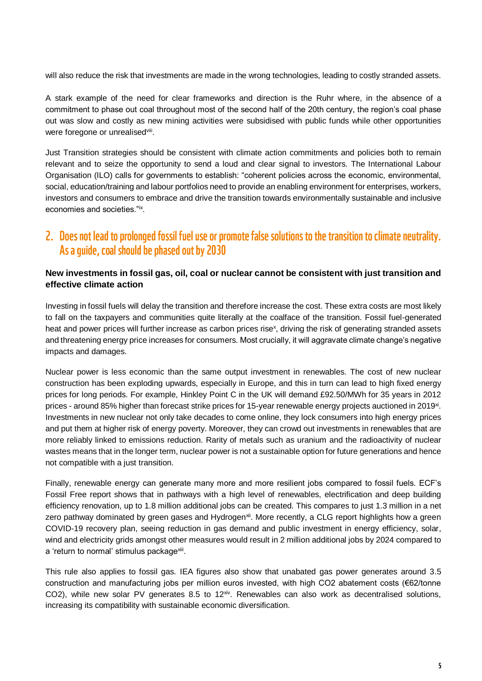will also reduce the risk that investments are made in the wrong technologies, leading to costly stranded assets.

A stark example of the need for clear frameworks and direction is the Ruhr where, in the absence of a commitment to phase out coal throughout most of the second half of the 20th century, the region's coal phase out was slow and costly as new mining activities were subsidised with public funds while other opportunities were foregone or unrealisedviii.

Just Transition strategies should be consistent with climate action commitments and policies both to remain relevant and to seize the opportunity to send a loud and clear signal to investors. The International Labour Organisation (ILO) calls for governments to establish: "coherent policies across the economic, environmental, social, education/training and labour portfolios need to provide an enabling environment for enterprises, workers, investors and consumers to embrace and drive the transition towards environmentally sustainable and inclusive economies and societies."ix .

## 2. Does not lead to prolonged fossil fuel use or promote false solutions to the transition to climate neutrality. As a quide, coal should be phased out by 2030

#### **New investments in fossil gas, oil, coal or nuclear cannot be consistent with just transition and effective climate action**

Investing in fossil fuels will delay the transition and therefore increase the cost. These extra costs are most likely to fall on the taxpayers and communities quite literally at the coalface of the transition. Fossil fuel-generated heat and power prices will further increase as carbon prices rise<sup>x</sup>, driving the risk of generating stranded assets and threatening energy price increases for consumers. Most crucially, it will aggravate climate change's negative impacts and damages.

Nuclear power is less economic than the same output investment in renewables. The cost of new nuclear construction has been exploding upwards, especially in Europe, and this in turn can lead to high fixed energy prices for long periods. For example, Hinkley Point C in the UK will demand £92.50/MWh for 35 years in 2012 prices - around 85% higher than forecast strike prices for 15-year renewable energy projects auctioned in 2019<sup>xi</sup>. Investments in new nuclear not only take decades to come online, they lock consumers into high energy prices and put them at higher risk of energy poverty. Moreover, they can crowd out investments in renewables that are more reliably linked to emissions reduction. Rarity of metals such as uranium and the radioactivity of nuclear wastes means that in the longer term, nuclear power is not a sustainable option for future generations and hence not compatible with a just transition.

Finally, renewable energy can generate many more and more resilient jobs compared to fossil fuels. ECF's Fossil Free report shows that in pathways with a high level of renewables, electrification and deep building efficiency renovation, up to 1.8 million additional jobs can be created. This compares to just 1.3 million in a net zero pathway dominated by green gases and Hydrogen<sup>xii</sup>. More recently, a CLG report highlights how a green COVID-19 recovery plan, seeing reduction in gas demand and public investment in energy efficiency, solar, wind and electricity grids amongst other measures would result in 2 million additional jobs by 2024 compared to a 'return to normal' stimulus package<sup>xii</sup>.

This rule also applies to fossil gas. IEA figures also show that unabated gas power generates around 3.5 construction and manufacturing jobs per million euros invested, with high CO2 abatement costs (€62/tonne CO2), while new solar PV generates 8.5 to  $12^{xiv}$ . Renewables can also work as decentralised solutions, increasing its compatibility with sustainable economic diversification.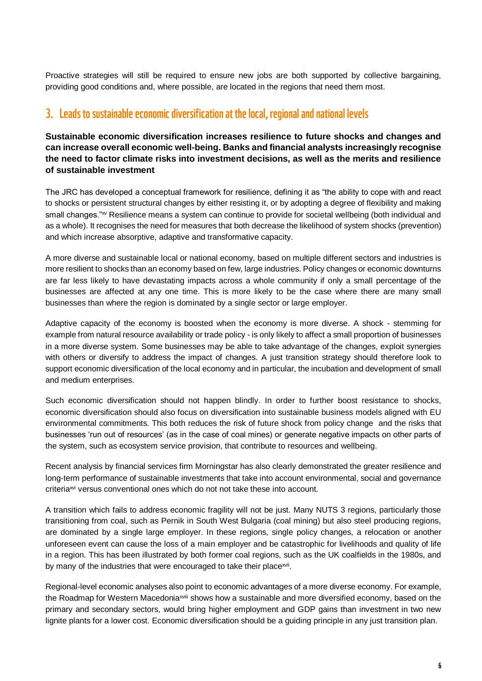Proactive strategies will still be required to ensure new jobs are both supported by collective bargaining, providing good conditions and, where possible, are located in the regions that need them most.

## 3. Leads to sustainable economic diversification at the local, regional and national levels

#### **Sustainable economic diversification increases resilience to future shocks and changes and can increase overall economic well-being. Banks and financial analysts increasingly recognise the need to factor climate risks into investment decisions, as well as the merits and resilience of sustainable investment**

The JRC has developed a conceptual framework for resilience, defining it as "the ability to cope with and react to shocks or persistent structural changes by either resisting it, or by adopting a degree of flexibility and making small changes."<sup>xv</sup> Resilience means a system can continue to provide for societal wellbeing (both individual and as a whole). It recognises the need for measures that both decrease the likelihood of system shocks (prevention) and which increase absorptive, adaptive and transformative capacity.

A more diverse and sustainable local or national economy, based on multiple different sectors and industries is more resilient to shocks than an economy based on few, large industries. Policy changes or economic downturns are far less likely to have devastating impacts across a whole community if only a small percentage of the businesses are affected at any one time. This is more likely to be the case where there are many small businesses than where the region is dominated by a single sector or large employer.

Adaptive capacity of the economy is boosted when the economy is more diverse. A shock - stemming for example from natural resource availability or trade policy - is only likely to affect a small proportion of businesses in a more diverse system. Some businesses may be able to take advantage of the changes, exploit synergies with others or diversify to address the impact of changes. A just transition strategy should therefore look to support economic diversification of the local economy and in particular, the incubation and development of small and medium enterprises.

Such economic diversification should not happen blindly. In order to further boost resistance to shocks, economic diversification should also focus on diversification into sustainable business models aligned with EU environmental commitments. This both reduces the risk of future shock from policy change and the risks that businesses 'run out of resources' (as in the case of coal mines) or generate negative impacts on other parts of the system, such as ecosystem service provision, that contribute to resources and wellbeing.

Recent analysis by financial services firm Morningstar has also clearly demonstrated the greater resilience and long-term performance of sustainable investments that take into account environmental, social and governance criteriaxvi versus conventional ones which do not not take these into account.

A transition which fails to address economic fragility will not be just. Many NUTS 3 regions, particularly those transitioning from coal, such as Pernik in South West Bulgaria (coal mining) but also steel producing regions, are dominated by a single large employer. In these regions, single policy changes, a relocation or another unforeseen event can cause the loss of a main employer and be catastrophic for livelihoods and quality of life in a region. This has been illustrated by both former coal regions, such as the UK coalfields in the 1980s, and by many of the industries that were encouraged to take their place<sup>xvii</sup>.

Regional-level economic analyses also point to economic advantages of a more diverse economy. For example, the Roadmap for Western Macedoniaxviii shows how a sustainable and more diversified economy, based on the primary and secondary sectors, would bring higher employment and GDP gains than investment in two new lignite plants for a lower cost. Economic diversification should be a guiding principle in any just transition plan.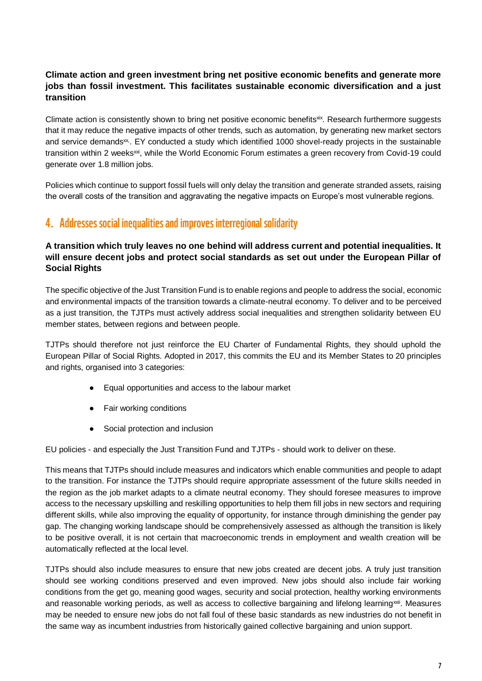## **Climate action and green investment bring net positive economic benefits and generate more jobs than fossil investment. This facilitates sustainable economic diversification and a just transition**

Climate action is consistently shown to bring net positive economic benefits<sup>xix</sup>. Research furthermore suggests that it may reduce the negative impacts of other trends, such as automation, by generating new market sectors and service demands<sup>xx</sup>. EY conducted a study which identified 1000 shovel-ready projects in the sustainable transition within 2 weeks<sup>xxi</sup>, while the World Economic Forum estimates a green recovery from Covid-19 could generate over 1.8 million jobs.

Policies which continue to support fossil fuels will only delay the transition and generate stranded assets, raising the overall costs of the transition and aggravating the negative impacts on Europe's most vulnerable regions.

## 4. Addresses social inequalities and improves interregional solidarity

## **A transition which truly leaves no one behind will address current and potential inequalities. It will ensure decent jobs and protect social standards as set out under the European Pillar of Social Rights**

The specific objective of the Just Transition Fund is to enable regions and people to address the social, economic and environmental impacts of the transition towards a climate-neutral economy. To deliver and to be perceived as a just transition, the TJTPs must actively address social inequalities and strengthen solidarity between EU member states, between regions and between people.

TJTPs should therefore not just reinforce the EU Charter of Fundamental Rights, they should uphold the European Pillar of Social Rights. Adopted in 2017, this commits the EU and its Member States to 20 principles and rights, organised into 3 categories:

- Equal opportunities and access to the labour market
- Fair working conditions
- Social protection and inclusion

EU policies - and especially the Just Transition Fund and TJTPs - should work to deliver on these.

This means that TJTPs should include measures and indicators which enable communities and people to adapt to the transition. For instance the TJTPs should require appropriate assessment of the future skills needed in the region as the job market adapts to a climate neutral economy. They should foresee measures to improve access to the necessary upskilling and reskilling opportunities to help them fill jobs in new sectors and requiring different skills, while also improving the equality of opportunity, for instance through diminishing the gender pay gap. The changing working landscape should be comprehensively assessed as although the transition is likely to be positive overall, it is not certain that macroeconomic trends in employment and wealth creation will be automatically reflected at the local level.

TJTPs should also include measures to ensure that new jobs created are decent jobs. A truly just transition should see working conditions preserved and even improved. New jobs should also include fair working conditions from the get go, meaning good wages, security and social protection, healthy working environments and reasonable working periods, as well as access to collective bargaining and lifelong learning<sup>xxii</sup>. Measures may be needed to ensure new jobs do not fall foul of these basic standards as new industries do not benefit in the same way as incumbent industries from historically gained collective bargaining and union support.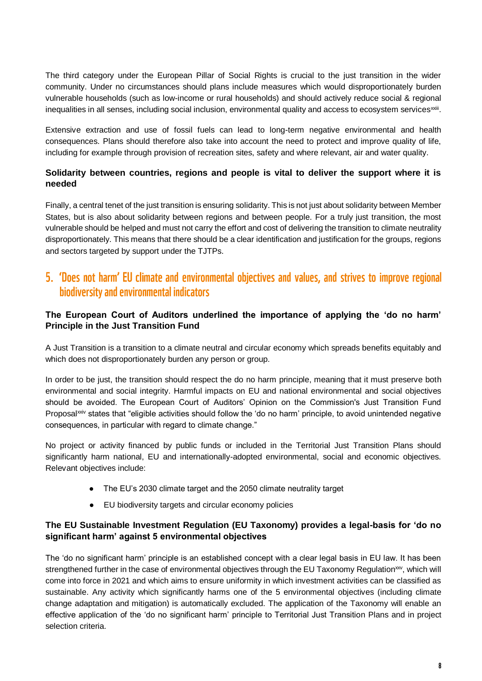The third category under the European Pillar of Social Rights is crucial to the just transition in the wider community. Under no circumstances should plans include measures which would disproportionately burden vulnerable households (such as low-income or rural households) and should actively reduce social & regional inequalities in all senses, including social inclusion, environmental quality and access to ecosystem services<sup>xxiii</sup>.

Extensive extraction and use of fossil fuels can lead to long-term negative environmental and health consequences. Plans should therefore also take into account the need to protect and improve quality of life, including for example through provision of recreation sites, safety and where relevant, air and water quality.

## **Solidarity between countries, regions and people is vital to deliver the support where it is needed**

Finally, a central tenet of the just transition is ensuring solidarity. This is not just about solidarity between Member States, but is also about solidarity between regions and between people. For a truly just transition, the most vulnerable should be helped and must not carry the effort and cost of delivering the transition to climate neutrality disproportionately. This means that there should be a clear identification and justification for the groups, regions and sectors targeted by support under the TJTPs.

## 5. 'Does not harm' EU climate and environmental objectives and values, and strives to improve regional biodiversity and environmental indicators

## **The European Court of Auditors underlined the importance of applying the 'do no harm' Principle in the Just Transition Fund**

A Just Transition is a transition to a climate neutral and circular economy which spreads benefits equitably and which does not disproportionately burden any person or group.

In order to be just, the transition should respect the do no harm principle, meaning that it must preserve both environmental and social integrity. Harmful impacts on EU and national environmental and social objectives should be avoided. The European Court of Auditors' Opinion on the Commission's Just Transition Fund Proposal<sup>xxiv</sup> states that "eligible activities should follow the 'do no harm' principle, to avoid unintended negative consequences, in particular with regard to climate change."

No project or activity financed by public funds or included in the Territorial Just Transition Plans should significantly harm national, EU and internationally-adopted environmental, social and economic objectives. Relevant objectives include:

- The EU's 2030 climate target and the 2050 climate neutrality target
- EU biodiversity targets and circular economy policies

## **The EU Sustainable Investment Regulation (EU Taxonomy) provides a legal-basis for 'do no significant harm' against 5 environmental objectives**

The 'do no significant harm' principle is an established concept with a clear legal basis in EU law. It has been strengthened further in the case of environmental objectives through the EU Taxonomy Regulation<sup>xx</sup>, which will come into force in 2021 and which aims to ensure uniformity in which investment activities can be classified as sustainable. Any activity which significantly harms one of the 5 environmental objectives (including climate change adaptation and mitigation) is automatically excluded. The application of the Taxonomy will enable an effective application of the 'do no significant harm' principle to Territorial Just Transition Plans and in project selection criteria.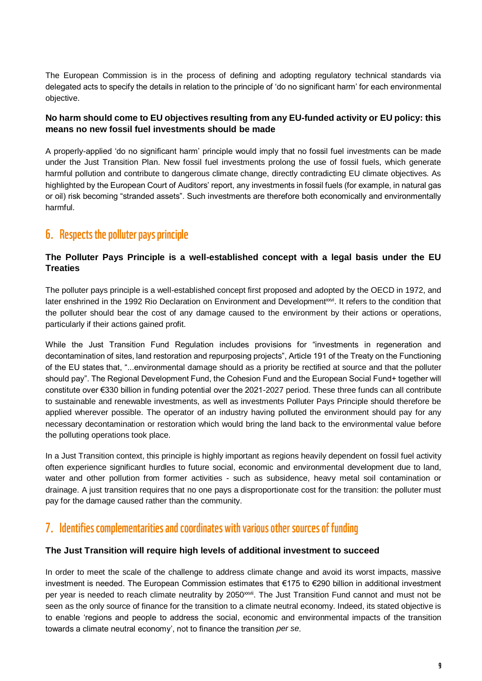The European Commission is in the process of defining and adopting regulatory technical standards via delegated acts to specify the details in relation to the principle of 'do no significant harm' for each environmental objective.

## **No harm should come to EU objectives resulting from any EU-funded activity or EU policy: this means no new fossil fuel investments should be made**

A properly-applied 'do no significant harm' principle would imply that no fossil fuel investments can be made under the Just Transition Plan. New fossil fuel investments prolong the use of fossil fuels, which generate harmful pollution and contribute to dangerous climate change, directly contradicting EU climate objectives. As highlighted by the European Court of Auditors' report, any investments in fossil fuels (for example, in natural gas or oil) risk becoming "stranded assets". Such investments are therefore both economically and environmentally harmful.

## 6. Respects the polluter pays principle

## **The Polluter Pays Principle is a well-established concept with a legal basis under the EU Treaties**

The polluter pays principle is a well-established concept first proposed and adopted by the OECD in 1972, and later enshrined in the 1992 Rio Declaration on Environment and Development<sup>xxvi</sup>. It refers to the condition that the polluter should bear the cost of any damage caused to the environment by their actions or operations, particularly if their actions gained profit.

While the Just Transition Fund Regulation includes provisions for "investments in regeneration and decontamination of sites, land restoration and repurposing projects", Article 191 of the Treaty on the Functioning of the EU states that, "...environmental damage should as a priority be rectified at source and that the polluter should pay". The Regional Development Fund, the Cohesion Fund and the European Social Fund+ together will constitute over €330 billion in funding potential over the 2021-2027 period. These three funds can all contribute to sustainable and renewable investments, as well as investments Polluter Pays Principle should therefore be applied wherever possible. The operator of an industry having polluted the environment should pay for any necessary decontamination or restoration which would bring the land back to the environmental value before the polluting operations took place.

In a Just Transition context, this principle is highly important as regions heavily dependent on fossil fuel activity often experience significant hurdles to future social, economic and environmental development due to land, water and other pollution from former activities - such as subsidence, heavy metal soil contamination or drainage. A just transition requires that no one pays a disproportionate cost for the transition: the polluter must pay for the damage caused rather than the community.

## 7. Identifies complementarities and coordinates with various other sources of funding

## **The Just Transition will require high levels of additional investment to succeed**

In order to meet the scale of the challenge to address climate change and avoid its worst impacts, massive investment is needed. The European Commission estimates that €175 to €290 billion in additional investment per year is needed to reach climate neutrality by 2050<sup>xxvii</sup>. The Just Transition Fund cannot and must not be seen as the only source of finance for the transition to a climate neutral economy. Indeed, its stated objective is to enable 'regions and people to address the social, economic and environmental impacts of the transition towards a climate neutral economy', not to finance the transition *per se*.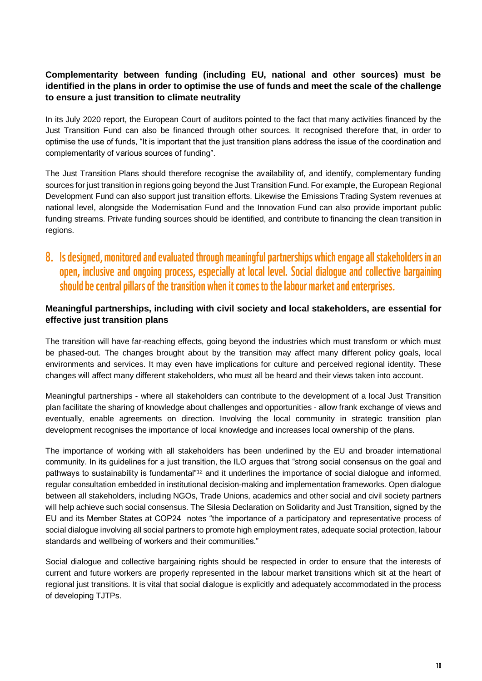## **Complementarity between funding (including EU, national and other sources) must be identified in the plans in order to optimise the use of funds and meet the scale of the challenge to ensure a just transition to climate neutrality**

In its July 2020 report, the European Court of auditors pointed to the fact that many activities financed by the Just Transition Fund can also be financed through other sources. It recognised therefore that, in order to optimise the use of funds, "It is important that the just transition plans address the issue of the coordination and complementarity of various sources of funding".

The Just Transition Plans should therefore recognise the availability of, and identify, complementary funding sources for just transition in regions going beyond the Just Transition Fund. For example, the European Regional Development Fund can also support just transition efforts. Likewise the Emissions Trading System revenues at national level, alongside the Modernisation Fund and the Innovation Fund can also provide important public funding streams. Private funding sources should be identified, and contribute to financing the clean transition in regions.

8. Is designed, monitored and evaluated through meaningful partnerships which engage all stakeholders in an open, inclusive and ongoing process, especially at local level. Social dialogue and collective bargaining should be central pillars of the transition when it comes to the labour market and enterprises.

## **Meaningful partnerships, including with civil society and local stakeholders, are essential for effective just transition plans**

The transition will have far-reaching effects, going beyond the industries which must transform or which must be phased-out. The changes brought about by the transition may affect many different policy goals, local environments and services. It may even have implications for culture and perceived regional identity. These changes will affect many different stakeholders, who must all be heard and their views taken into account.

Meaningful partnerships - where all stakeholders can contribute to the development of a local Just Transition plan facilitate the sharing of knowledge about challenges and opportunities - allow frank exchange of views and eventually, enable agreements on direction. Involving the local community in strategic transition plan development recognises the importance of local knowledge and increases local ownership of the plans.

The importance of working with all stakeholders has been underlined by the EU and broader international community. In its guidelines for a just transition, the ILO argues that "strong social consensus on the goal and pathways to sustainability is fundamental"<sup>12</sup> and it underlines the importance of social dialogue and informed, regular consultation embedded in institutional decision-making and implementation frameworks. Open dialogue between all stakeholders, including NGOs, Trade Unions, academics and other social and civil society partners will help achieve such social consensus. The Silesia Declaration on Solidarity and Just Transition, signed by the EU and its Member States at COP24 notes "the importance of a participatory and representative process of social dialogue involving all social partners to promote high employment rates, adequate social protection, labour standards and wellbeing of workers and their communities."

Social dialogue and collective bargaining rights should be respected in order to ensure that the interests of current and future workers are properly represented in the labour market transitions which sit at the heart of regional just transitions. It is vital that social dialogue is explicitly and adequately accommodated in the process of developing TJTPs.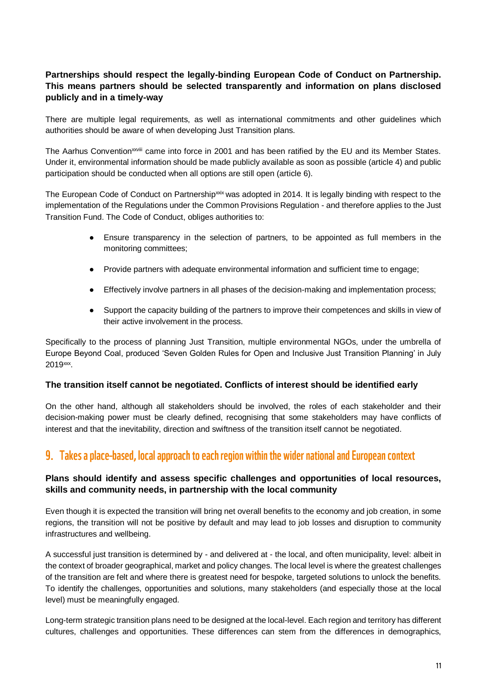## **Partnerships should respect the legally-binding European Code of Conduct on Partnership. This means partners should be selected transparently and information on plans disclosed publicly and in a timely-way**

There are multiple legal requirements, as well as international commitments and other guidelines which authorities should be aware of when developing Just Transition plans.

The Aarhus Convention<sup>xxviii</sup> came into force in 2001 and has been ratified by the EU and its Member States. Under it, environmental information should be made publicly available as soon as possible (article 4) and public participation should be conducted when all options are still open (article 6).

The European Code of Conduct on Partnership  $\frac{1}{2}$  was adopted in 2014. It is legally binding with respect to the implementation of the Regulations under the Common Provisions Regulation - and therefore applies to the Just Transition Fund. The Code of Conduct, obliges authorities to:

- Ensure transparency in the selection of partners, to be appointed as full members in the monitoring committees;
- Provide partners with adequate environmental information and sufficient time to engage;
- Effectively involve partners in all phases of the decision-making and implementation process;
- Support the capacity building of the partners to improve their competences and skills in view of their active involvement in the process.

Specifically to the process of planning Just Transition, multiple environmental NGOs, under the umbrella of Europe Beyond Coal, produced 'Seven Golden Rules for Open and Inclusive Just Transition Planning' in July 2019xxx .

#### **The transition itself cannot be negotiated. Conflicts of interest should be identified early**

On the other hand, although all stakeholders should be involved, the roles of each stakeholder and their decision-making power must be clearly defined, recognising that some stakeholders may have conflicts of interest and that the inevitability, direction and swiftness of the transition itself cannot be negotiated.

## 9. Takes a place-based, local approach to each region within the wider national and European context

## **Plans should identify and assess specific challenges and opportunities of local resources, skills and community needs, in partnership with the local community**

Even though it is expected the transition will bring net overall benefits to the economy and job creation, in some regions, the transition will not be positive by default and may lead to job losses and disruption to community infrastructures and wellbeing.

A successful just transition is determined by - and delivered at - the local, and often municipality, level: albeit in the context of broader geographical, market and policy changes. The local level is where the greatest challenges of the transition are felt and where there is greatest need for bespoke, targeted solutions to unlock the benefits. To identify the challenges, opportunities and solutions, many stakeholders (and especially those at the local level) must be meaningfully engaged.

Long-term strategic transition plans need to be designed at the local-level. Each region and territory has different cultures, challenges and opportunities. These differences can stem from the differences in demographics,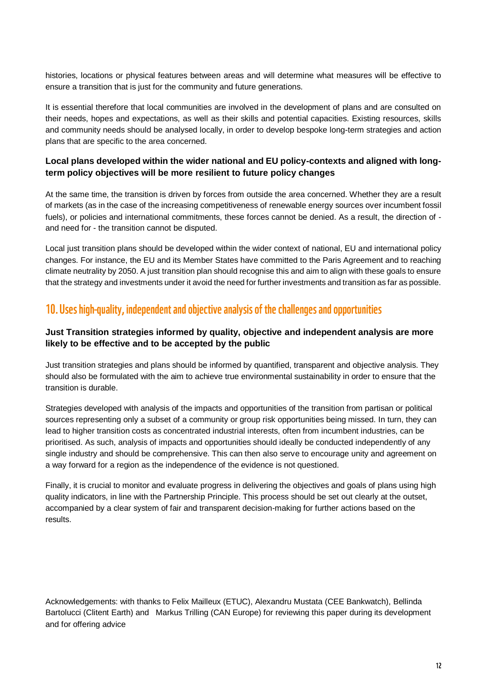histories, locations or physical features between areas and will determine what measures will be effective to ensure a transition that is just for the community and future generations.

It is essential therefore that local communities are involved in the development of plans and are consulted on their needs, hopes and expectations, as well as their skills and potential capacities. Existing resources, skills and community needs should be analysed locally, in order to develop bespoke long-term strategies and action plans that are specific to the area concerned.

## **Local plans developed within the wider national and EU policy-contexts and aligned with longterm policy objectives will be more resilient to future policy changes**

At the same time, the transition is driven by forces from outside the area concerned. Whether they are a result of markets (as in the case of the increasing competitiveness of renewable energy sources over incumbent fossil fuels), or policies and international commitments, these forces cannot be denied. As a result, the direction of and need for - the transition cannot be disputed.

Local just transition plans should be developed within the wider context of national, EU and international policy changes. For instance, the EU and its Member States have committed to the Paris Agreement and to reaching climate neutrality by 2050. A just transition plan should recognise this and aim to align with these goals to ensure that the strategy and investments under it avoid the need for further investments and transition as far as possible.

## 10. Uses high-quality, independent and objective analysis of the challenges and opportunities

## **Just Transition strategies informed by quality, objective and independent analysis are more likely to be effective and to be accepted by the public**

Just transition strategies and plans should be informed by quantified, transparent and objective analysis. They should also be formulated with the aim to achieve true environmental sustainability in order to ensure that the transition is durable.

Strategies developed with analysis of the impacts and opportunities of the transition from partisan or political sources representing only a subset of a community or group risk opportunities being missed. In turn, they can lead to higher transition costs as concentrated industrial interests, often from incumbent industries, can be prioritised. As such, analysis of impacts and opportunities should ideally be conducted independently of any single industry and should be comprehensive. This can then also serve to encourage unity and agreement on a way forward for a region as the independence of the evidence is not questioned.

Finally, it is crucial to monitor and evaluate progress in delivering the objectives and goals of plans using high quality indicators, in line with the Partnership Principle. This process should be set out clearly at the outset, accompanied by a clear system of fair and transparent decision-making for further actions based on the results.

Acknowledgements: with thanks to Felix Mailleux (ETUC), Alexandru Mustata (CEE Bankwatch), Bellinda Bartolucci (Clitent Earth) and Markus Trilling (CAN Europe) for reviewing this paper during its development and for offering advice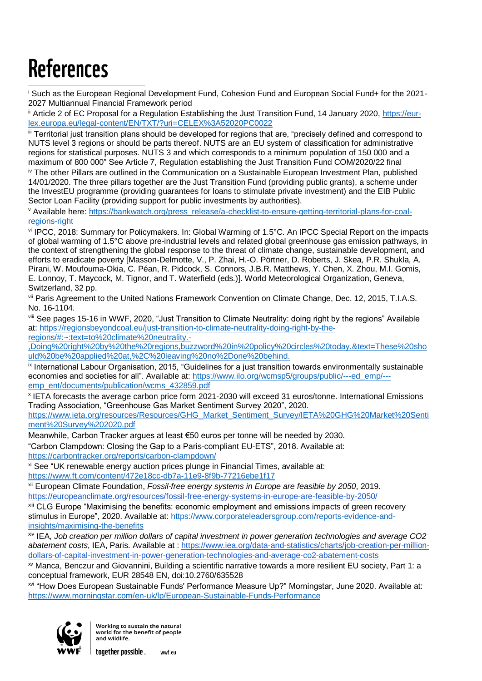## **References** -

<sup>i</sup> Such as the European Regional Development Fund, Cohesion Fund and European Social Fund+ for the 2021- 2027 Multiannual Financial Framework period

ii Article 2 of EC Proposal for a Regulation Establishing the Just Transition Fund, 14 January 2020, [https://eur](https://eur-lex.europa.eu/legal-content/EN/TXT/?uri=CELEX%3A52020PC0022)[lex.europa.eu/legal-content/EN/TXT/?uri=CELEX%3A52020PC0022](https://eur-lex.europa.eu/legal-content/EN/TXT/?uri=CELEX%3A52020PC0022)

iii Territorial just transition plans should be developed for regions that are, "precisely defined and correspond to NUTS level 3 regions or should be parts thereof. NUTS are an EU system of classification for administrative regions for statistical purposes. NUTS 3 and which corresponds to a minimum population of 150 000 and a maximum of 800 000" See Article 7, Regulation establishing the Just Transition Fund COM/2020/22 final

iv The other Pillars are outlined in the Communication on a Sustainable European Investment Plan, published 14/01/2020. The three pillars together are the Just Transition Fund (providing public grants), a scheme under the InvestEU programme (providing guarantees for loans to stimulate private investment) and the EIB Public Sector Loan Facility (providing support for public investments by authorities).

<sup>v</sup> Available here: [https://bankwatch.org/press\\_release/a-checklist-to-ensure-getting-territorial-plans-for-coal](https://bankwatch.org/press_release/a-checklist-to-ensure-getting-territorial-plans-for-coal-regions-right)[regions-right](https://bankwatch.org/press_release/a-checklist-to-ensure-getting-territorial-plans-for-coal-regions-right)

vi IPCC, 2018: Summary for Policymakers. In: Global Warming of 1.5°C. An IPCC Special Report on the impacts of global warming of 1.5°C above pre-industrial levels and related global greenhouse gas emission pathways, in the context of strengthening the global response to the threat of climate change, sustainable development, and efforts to eradicate poverty [Masson-Delmotte, V., P. Zhai, H.-O. Pörtner, D. Roberts, J. Skea, P.R. Shukla, A. Pirani, W. Moufouma-Okia, C. Péan, R. Pidcock, S. Connors, J.B.R. Matthews, Y. Chen, X. Zhou, M.I. Gomis, E. Lonnoy, T. Maycock, M. Tignor, and T. Waterfield (eds.)]. World Meteorological Organization, Geneva, Switzerland, 32 pp.

vii Paris Agreement to the United Nations Framework Convention on Climate Change, Dec. 12, 2015, T.I.A.S. No. 16-1104.

viii See pages 15-16 in WWF, 2020, "Just Transition to Climate Neutrality: doing right by the regions" Available at[: https://regionsbeyondcoal.eu/just-transition-to-climate-neutrality-doing-right-by-the](https://regionsbeyondcoal.eu/just-transition-to-climate-neutrality-doing-right-by-the-regions/#:~:text=to%20climate%20neutrality.-,Doing%20right%20by%20the%20regions,buzzword%20in%20policy%20circles%20today.&text=These%20should%20be%20applied%20at,%2C%20leaving%20no%2Done%20behind.)[regions/#:~:text=to%20climate%20neutrality.-](https://regionsbeyondcoal.eu/just-transition-to-climate-neutrality-doing-right-by-the-regions/#:~:text=to%20climate%20neutrality.-,Doing%20right%20by%20the%20regions,buzzword%20in%20policy%20circles%20today.&text=These%20should%20be%20applied%20at,%2C%20leaving%20no%2Done%20behind.)

[,Doing%20right%20by%20the%20regions,buzzword%20in%20policy%20circles%20today.&text=These%20sho](https://regionsbeyondcoal.eu/just-transition-to-climate-neutrality-doing-right-by-the-regions/#:~:text=to%20climate%20neutrality.-,Doing%20right%20by%20the%20regions,buzzword%20in%20policy%20circles%20today.&text=These%20should%20be%20applied%20at,%2C%20leaving%20no%2Done%20behind.) [uld%20be%20applied%20at,%2C%20leaving%20no%2Done%20behind.](https://regionsbeyondcoal.eu/just-transition-to-climate-neutrality-doing-right-by-the-regions/#:~:text=to%20climate%20neutrality.-,Doing%20right%20by%20the%20regions,buzzword%20in%20policy%20circles%20today.&text=These%20should%20be%20applied%20at,%2C%20leaving%20no%2Done%20behind.)

ix International Labour Organisation, 2015, "Guidelines for a just transition towards environmentally sustainable economies and societies for all". Available at[: https://www.ilo.org/wcmsp5/groups/public/---ed\\_emp/--](https://www.ilo.org/wcmsp5/groups/public/---ed_emp/---emp_ent/documents/publication/wcms_432859.pdf) [emp\\_ent/documents/publication/wcms\\_432859.pdf](https://www.ilo.org/wcmsp5/groups/public/---ed_emp/---emp_ent/documents/publication/wcms_432859.pdf)

x IETA forecasts the average carbon price form 2021-2030 will exceed 31 euros/tonne. International Emissions Trading Association, "Greenhouse Gas Market Sentiment Survey 2020", 2020.

[https://www.ieta.org/resources/Resources/GHG\\_Market\\_Sentiment\\_Survey/IETA%20GHG%20Market%20Senti](https://www.ieta.org/resources/Resources/GHG_Market_Sentiment_Survey/IETA%20GHG%20Market%20Sentiment%20Survey%202020.pdf) [ment%20Survey%202020.pdf](https://www.ieta.org/resources/Resources/GHG_Market_Sentiment_Survey/IETA%20GHG%20Market%20Sentiment%20Survey%202020.pdf)

Meanwhile, Carbon Tracker argues at least €50 euros per tonne will be needed by 2030. "Carbon Clampdown: Closing the Gap to a Paris-compliant EU-ETS", 2018. Available at: <https://carbontracker.org/reports/carbon-clampdown/>

xi See "UK renewable energy auction prices plunge in Financial Times, available at: <https://www.ft.com/content/472e18cc-db7a-11e9-8f9b-77216ebe1f17>

xii European Climate Foundation, *Fossil-free energy systems in Europe are feasible by 2050*, 2019[.](https://europeanclimate.org/resources/fossil-free-energy-systems-in-europe-are-feasible-by-2050/) <https://europeanclimate.org/resources/fossil-free-energy-systems-in-europe-are-feasible-by-2050/>

xiii CLG Europe "Maximising the benefits: economic employment and emissions impacts of green recovery stimulus in Europe", 2020. Available at: [https://www.corporateleadersgroup.com/reports-evidence-and](https://www.corporateleadersgroup.com/reports-evidence-and-insights/maximising-the-benefits)[insights/maximising-the-benefits](https://www.corporateleadersgroup.com/reports-evidence-and-insights/maximising-the-benefits)

xiv IEA, *Job creation per million dollars of capital investment in power generation technologies and average CO2 abatement costs*, IEA, Paris. Available at [:](https://www.iea.org/data-and-statistics/charts/job-creation-per-million-dollars-of-capital-investment-in-power-generation-technologies-and-average-co2-abatement-costs) [https://www.iea.org/data-and-statistics/charts/job-creation-per-million](https://www.iea.org/data-and-statistics/charts/job-creation-per-million-dollars-of-capital-investment-in-power-generation-technologies-and-average-co2-abatement-costs)[dollars-of-capital-investment-in-power-generation-technologies-and-average-co2-abatement-costs](https://www.iea.org/data-and-statistics/charts/job-creation-per-million-dollars-of-capital-investment-in-power-generation-technologies-and-average-co2-abatement-costs)

xv Manca, Benczur and Giovannini, Building a scientific narrative towards a more resilient EU society, Part 1: a conceptual framework, EUR 28548 EN, doi:10.2760/635528

xvi "How Does European Sustainable Funds' Performance Measure Up?" Morningstar, June 2020. Available at: <https://www.morningstar.com/en-uk/lp/European-Sustainable-Funds-Performance>



Working to sustain the natural world for the benefit of people and wildlife.

together possible. wwf.eu